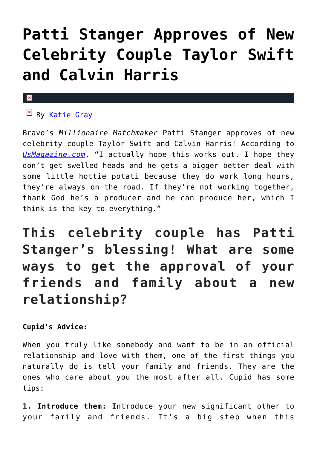### **[Patti Stanger Approves of New](https://cupidspulse.com/93926/patti-stanger-approves-new-celebrity-couple-taylor-swift-calvin-harris/) [Celebrity Couple Taylor Swift](https://cupidspulse.com/93926/patti-stanger-approves-new-celebrity-couple-taylor-swift-calvin-harris/) [and Calvin Harris](https://cupidspulse.com/93926/patti-stanger-approves-new-celebrity-couple-taylor-swift-calvin-harris/)**

### $\mathbf{x}$

**EX B[y Katie Gray](http://cupidspulse.com/105088/katie-gray/)** 

Bravo's *Millionaire Matchmaker* Patti Stanger approves of new celebrity couple Taylor Swift and Calvin Harris! According to *[UsMagazine.com](http://www.usmagazine.com/celebrity-news/news/patti-stanger-approves-of-taylor-swift-dating-calvin-harris-2015116)*, "I actually hope this works out. I hope they don't get swelled heads and he gets a bigger better deal with some little hottie potati because they do work long hours, they're always on the road. If they're not working together, thank God he's a producer and he can produce her, which I think is the key to everything."

**This celebrity couple has Patti Stanger's blessing! What are some ways to get the approval of your friends and family about a new relationship?**

**Cupid's Advice:**

When you truly like somebody and want to be in an official relationship and love with them, one of the first things you naturally do is tell your family and friends. They are the ones who care about you the most after all. Cupid has some tips:

**1. Introduce them: I**ntroduce your new significant other to your family and friends. It's a big step when this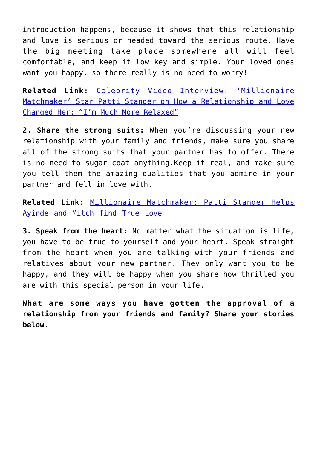introduction happens, because it shows that this relationship and love is serious or headed toward the serious route. Have the big meeting take place somewhere all will feel comfortable, and keep it low key and simple. Your loved ones want you happy, so there really is no need to worry!

**Related Link:** [Celebrity Video Interview: 'Millionaire](http://cupidspulse.com/69630/millionaire-matchmaker-patti-stanger-match-com-singles-in-america-online-dating/) [Matchmaker' Star Patti Stanger on How a Relationship and Love](http://cupidspulse.com/69630/millionaire-matchmaker-patti-stanger-match-com-singles-in-america-online-dating/) [Changed Her: "I'm Much More Relaxed"](http://cupidspulse.com/69630/millionaire-matchmaker-patti-stanger-match-com-singles-in-america-online-dating/)

**2. Share the strong suits:** When you're discussing your new relationship with your family and friends, make sure you share all of the strong suits that your partner has to offer. There is no need to sugar coat anything.Keep it real, and make sure you tell them the amazing qualities that you admire in your partner and fell in love with.

**Related Link:** [Millionaire Matchmaker: Patti Stanger Helps](http://cupidspulse.com/21138/millionaire-matchmaker-bravo-tv-patti-stanger-helps-ayinde-alakoye-mitch-gordon-find-true-love/) [Ayinde and Mitch find True Love](http://cupidspulse.com/21138/millionaire-matchmaker-bravo-tv-patti-stanger-helps-ayinde-alakoye-mitch-gordon-find-true-love/)

**3. Speak from the heart:** No matter what the situation is life, you have to be true to yourself and your heart. Speak straight from the heart when you are talking with your friends and relatives about your new partner. They only want you to be happy, and they will be happy when you share how thrilled you are with this special person in your life.

**What are some ways you have gotten the approval of a relationship from your friends and family? Share your stories below.**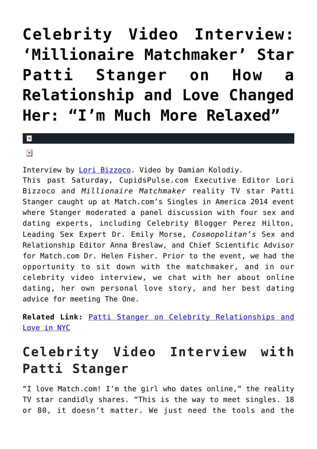### **[Celebrity Video Interview:](https://cupidspulse.com/69630/millionaire-matchmaker-patti-stanger-match-com-singles-in-america-online-dating/) ['Millionaire Matchmaker' Star](https://cupidspulse.com/69630/millionaire-matchmaker-patti-stanger-match-com-singles-in-america-online-dating/) [Patti Stanger on How a](https://cupidspulse.com/69630/millionaire-matchmaker-patti-stanger-match-com-singles-in-america-online-dating/) [Relationship and Love Changed](https://cupidspulse.com/69630/millionaire-matchmaker-patti-stanger-match-com-singles-in-america-online-dating/) [Her: "I'm Much More Relaxed"](https://cupidspulse.com/69630/millionaire-matchmaker-patti-stanger-match-com-singles-in-america-online-dating/)**

 $\mathbf{R}$ 

 $\pmb{\times}$ 

Interview by [Lori Bizzoco.](http://cupidspulse.com/104596/lori-bizzoco/) Video by Damian Kolodiy. This past Saturday, CupidsPulse.com Executive Editor Lori Bizzoco and *Millionaire Matchmaker* reality TV star Patti Stanger caught up at Match.com's Singles in America 2014 event where Stanger moderated a panel discussion with four sex and dating experts, including Celebrity Blogger Perez Hilton, Leading Sex Expert Dr. Emily Morse, *Cosmopolitan's* Sex and Relationship Editor Anna Breslaw, and Chief Scientific Advisor for Match.com Dr. Helen Fisher. Prior to the event, we had the opportunity to sit down with the matchmaker, and in our celebrity video interview, we chat with her about online dating, her own personal love story, and her best dating advice for meeting The One.

**Related Link:** [Patti Stanger on Celebrity Relationships and](http://cupidspulse.com/cupidspulse-interviews-millionaire-matchmaker-patti-stanger/) [Love in NYC](http://cupidspulse.com/cupidspulse-interviews-millionaire-matchmaker-patti-stanger/)

### **Celebrity Video Interview with Patti Stanger**

"I love Match.com! I'm the girl who dates online," the reality TV star candidly shares. "This is the way to meet singles. 18 or 80, it doesn't matter. We just need the tools and the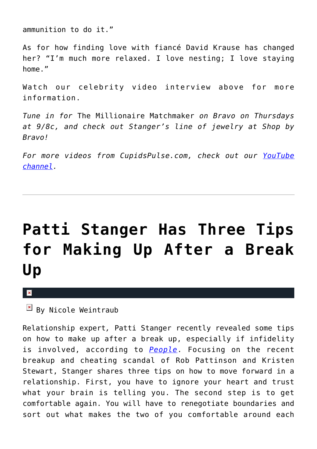ammunition to do it."

As for how finding love with fiancé David Krause has changed her? "I'm much more relaxed. I love nesting; I love staying home."

Watch our celebrity video interview above for more information.

*Tune in for* The Millionaire Matchmaker *on Bravo on Thursdays at 9/8c, and check out Stanger's line of jewelry at Shop by Bravo!*

*For more videos from CupidsPulse.com, check out our [YouTube](https://www.youtube.com/channel/UCP4G7LiNJEVZ7U0M24qXmfg) [channel](https://www.youtube.com/channel/UCP4G7LiNJEVZ7U0M24qXmfg).*

### **[Patti Stanger Has Three Tips](https://cupidspulse.com/38868/patti-stanger-three-tips-making-up-after-break-up-split/) [for Making Up After a Break](https://cupidspulse.com/38868/patti-stanger-three-tips-making-up-after-break-up-split/) [Up](https://cupidspulse.com/38868/patti-stanger-three-tips-making-up-after-break-up-split/)**

 $\pmb{\times}$ 

 $\boxed{\times}$  By Nicole Weintraub

Relationship expert*,* Patti Stanger recently revealed some tips on how to make up after a break up, especially if infidelity is involved, according to *[People](http://www.people.com/people/article/0,,20633970,00.html)*. Focusing on the recent breakup and cheating scandal of Rob Pattinson and Kristen Stewart, Stanger shares three tips on how to move forward in a relationship. First, you have to ignore your heart and trust what your brain is telling you. The second step is to get comfortable again. You will have to renegotiate boundaries and sort out what makes the two of you comfortable around each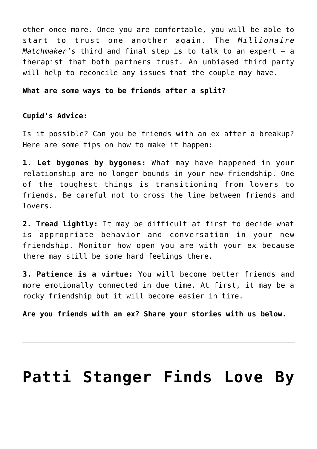other once more. Once you are comfortable, you will be able to start to trust one another again. The *Millionaire Matchmaker's* third and final step is to talk to an expert — a therapist that both partners trust. An unbiased third party will help to reconcile any issues that the couple may have.

#### **What are some ways to be friends after a split?**

#### **Cupid's Advice:**

Is it possible? Can you be friends with an ex after a breakup? Here are some tips on how to make it happen:

**1. Let bygones by bygones:** What may have happened in your relationship are no longer bounds in your new friendship. One of the toughest things is transitioning from lovers to friends. Be careful not to cross the line between friends and lovers.

**2. Tread lightly:** It may be difficult at first to decide what is appropriate behavior and conversation in your new friendship. Monitor how open you are with your ex because there may still be some hard feelings there.

**3. Patience is a virtue:** You will become better friends and more emotionally connected in due time. At first, it may be a rocky friendship but it will become easier in time.

**Are you friends with an ex? Share your stories with us below.**

### **[Patti Stanger Finds Love By](https://cupidspulse.com/33951/patti-stanger-love-searching-for-birth-family/)**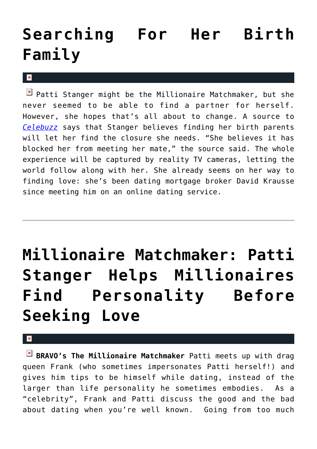## **[Searching For Her Birth](https://cupidspulse.com/33951/patti-stanger-love-searching-for-birth-family/) [Family](https://cupidspulse.com/33951/patti-stanger-love-searching-for-birth-family/)**

 $\mathbf{x}$ 

 $\boxed{\times}$  Patti Stanger might be the Millionaire Matchmaker, but she never seemed to be able to find a partner for herself. However, she hopes that's all about to change. A source to *[Celebuzz](http://www.celebuzz.com/2012-06-25/millionaire-matchmaker-patti-stanger-searching-for-biological-parents-believes-its-key-to-finding-true-love-exclusive/)* says that Stanger believes finding her birth parents will let her find the closure she needs. "She believes it has blocked her from meeting her mate," the source said. The whole experience will be captured by reality TV cameras, letting the world follow along with her. She already seems on her way to finding love: she's been dating mortgage broker David Krausse since meeting him on an online dating service.

# **[Millionaire Matchmaker: Patti](https://cupidspulse.com/22335/millionaire-matchmaker-bravo-tvpatti-stanger-helps-millionaires-drag-queen-frank-and-jason-find-personality-before-seeking-love/) [Stanger Helps Millionaires](https://cupidspulse.com/22335/millionaire-matchmaker-bravo-tvpatti-stanger-helps-millionaires-drag-queen-frank-and-jason-find-personality-before-seeking-love/) [Find Personality Before](https://cupidspulse.com/22335/millionaire-matchmaker-bravo-tvpatti-stanger-helps-millionaires-drag-queen-frank-and-jason-find-personality-before-seeking-love/) [Seeking Love](https://cupidspulse.com/22335/millionaire-matchmaker-bravo-tvpatti-stanger-helps-millionaires-drag-queen-frank-and-jason-find-personality-before-seeking-love/)**

×

**BRAVO's The Millionaire Matchmaker** Patti meets up with drag queen Frank (who sometimes impersonates Patti herself!) and gives him tips to be himself while dating, instead of the larger than life personality he sometimes embodies. As a "celebrity", Frank and Patti discuss the good and the bad about dating when you're well known. Going from too much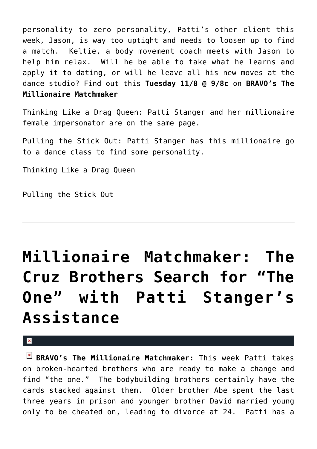personality to zero personality, Patti's other client this week, Jason, is way too uptight and needs to loosen up to find a match. Keltie, a body movement coach meets with Jason to help him relax. Will he be able to take what he learns and apply it to dating, or will he leave all his new moves at the dance studio? Find out this **Tuesday 11/8 @ 9/8c** on **BRAVO's The Millionaire Matchmaker**

Thinking Like a Drag Queen: Patti Stanger and her millionaire female impersonator are on the same page.

Pulling the Stick Out: Patti Stanger has this millionaire go to a dance class to find some personality.

Thinking Like a Drag Queen

Pulling the Stick Out

## **[Millionaire Matchmaker: The](https://cupidspulse.com/21430/bravo-tv-millionaire-matchmaker-abe-cruz-david-cruz-brothers-find-love-with-patti-stanger-help/) [Cruz Brothers Search for "The](https://cupidspulse.com/21430/bravo-tv-millionaire-matchmaker-abe-cruz-david-cruz-brothers-find-love-with-patti-stanger-help/) [One" with Patti Stanger's](https://cupidspulse.com/21430/bravo-tv-millionaire-matchmaker-abe-cruz-david-cruz-brothers-find-love-with-patti-stanger-help/) [Assistance](https://cupidspulse.com/21430/bravo-tv-millionaire-matchmaker-abe-cruz-david-cruz-brothers-find-love-with-patti-stanger-help/)**

#### $\mathbf x$

**BRAVO's The Millionaire Matchmaker:** This week Patti takes on broken-hearted brothers who are ready to make a change and find "the one." The bodybuilding brothers certainly have the cards stacked against them. Older brother Abe spent the last three years in prison and younger brother David married young only to be cheated on, leading to divorce at 24. Patti has a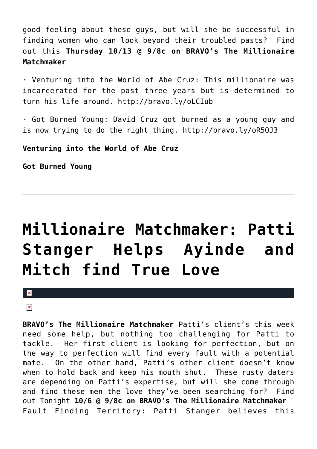good feeling about these guys, but will she be successful in finding women who can look beyond their troubled pasts? Find out this **Thursday 10/13 @ 9/8c on BRAVO's The Millionaire Matchmaker**

· Venturing into the World of Abe Cruz: This millionaire was incarcerated for the past three years but is determined to turn his life around. http://bravo.ly/oLCIub

· Got Burned Young: David Cruz got burned as a young guy and is now trying to do the right thing. http://bravo.ly/oR5OJ3

**Venturing into the World of Abe Cruz**

**Got Burned Young**

## **[Millionaire Matchmaker: Patti](https://cupidspulse.com/21138/millionaire-matchmaker-bravo-tv-patti-stanger-helps-ayinde-alakoye-mitch-gordon-find-true-love/) [Stanger Helps Ayinde and](https://cupidspulse.com/21138/millionaire-matchmaker-bravo-tv-patti-stanger-helps-ayinde-alakoye-mitch-gordon-find-true-love/) [Mitch find True Love](https://cupidspulse.com/21138/millionaire-matchmaker-bravo-tv-patti-stanger-helps-ayinde-alakoye-mitch-gordon-find-true-love/)**

 $\mathbf{x}$ 

#### $\pmb{\times}$

**BRAVO's The Millionaire Matchmaker** Patti's client's this week need some help, but nothing too challenging for Patti to tackle. Her first client is looking for perfection, but on the way to perfection will find every fault with a potential mate. On the other hand, Patti's other client doesn't know when to hold back and keep his mouth shut. These rusty daters are depending on Patti's expertise, but will she come through and find these men the love they've been searching for? Find out Tonight **10/6 @ 9/8c on BRAVO's The Millionaire Matchmaker** Fault Finding Territory: Patti Stanger believes this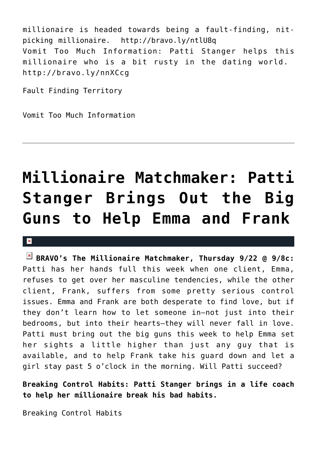millionaire is headed towards being a fault-finding, nitpicking millionaire. http://bravo.ly/ntlU8q Vomit Too Much Information: Patti Stanger helps this millionaire who is a bit rusty in the dating world. http://bravo.ly/nnXCcg

Fault Finding Territory

Vomit Too Much Information

## **[Millionaire Matchmaker: Patti](https://cupidspulse.com/20368/millionaire-matchmaker-patti-stanger-helps-emma-ridley-pole-dancing-instructor-frank-stiles-plastic-surgeon-break-bad-habits-bravo-tv/) [Stanger Brings Out the Big](https://cupidspulse.com/20368/millionaire-matchmaker-patti-stanger-helps-emma-ridley-pole-dancing-instructor-frank-stiles-plastic-surgeon-break-bad-habits-bravo-tv/) [Guns to Help Emma and Frank](https://cupidspulse.com/20368/millionaire-matchmaker-patti-stanger-helps-emma-ridley-pole-dancing-instructor-frank-stiles-plastic-surgeon-break-bad-habits-bravo-tv/)**

#### $\mathbf x$

**BRAVO's The Millionaire Matchmaker, Thursday 9/22 @ 9/8c:** Patti has her hands full this week when one client, Emma, refuses to get over her masculine tendencies, while the other client, Frank, suffers from some pretty serious control issues. Emma and Frank are both desperate to find love, but if they don't learn how to let someone in–not just into their bedrooms, but into their hearts–they will never fall in love. Patti must bring out the big guns this week to help Emma set her sights a little higher than just any guy that is available, and to help Frank take his guard down and let a girl stay past 5 o'clock in the morning. Will Patti succeed?

**Breaking Control Habits: Patti Stanger brings in a life coach to help her millionaire break his bad habits.**

Breaking Control Habits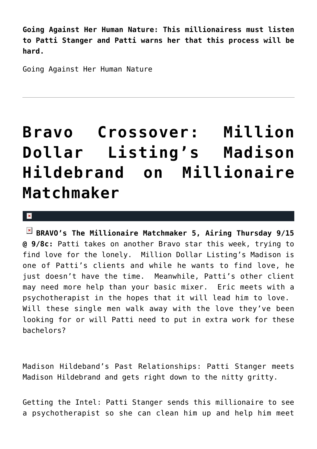**Going Against Her Human Nature: This millionairess must listen to Patti Stanger and Patti warns her that this process will be hard.**

Going Against Her Human Nature

## **[Bravo Crossover: Million](https://cupidspulse.com/20136/patti-stanger-finds-date-for-million-dollar-listing-madison-hildebrand-on-bravo-tv-millionaire-matchmaker/) [Dollar Listing's Madison](https://cupidspulse.com/20136/patti-stanger-finds-date-for-million-dollar-listing-madison-hildebrand-on-bravo-tv-millionaire-matchmaker/) [Hildebrand on Millionaire](https://cupidspulse.com/20136/patti-stanger-finds-date-for-million-dollar-listing-madison-hildebrand-on-bravo-tv-millionaire-matchmaker/) [Matchmaker](https://cupidspulse.com/20136/patti-stanger-finds-date-for-million-dollar-listing-madison-hildebrand-on-bravo-tv-millionaire-matchmaker/)**

 $\mathbf{R}$ 

**BRAVO's The Millionaire Matchmaker 5, Airing Thursday 9/15 @ 9/8c:** Patti takes on another Bravo star this week, trying to find love for the lonely. Million Dollar Listing's Madison is one of Patti's clients and while he wants to find love, he just doesn't have the time. Meanwhile, Patti's other client may need more help than your basic mixer. Eric meets with a psychotherapist in the hopes that it will lead him to love. Will these single men walk away with the love they've been looking for or will Patti need to put in extra work for these bachelors?

Madison Hildeband's Past Relationships: Patti Stanger meets Madison Hildebrand and gets right down to the nitty gritty.

Getting the Intel: Patti Stanger sends this millionaire to see a psychotherapist so she can clean him up and help him meet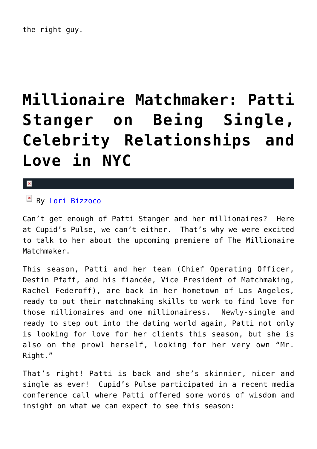## **[Millionaire Matchmaker: Patti](https://cupidspulse.com/18625/cupidspulse-interviews-millionaire-matchmaker-patti-stanger/) [Stanger on Being Single,](https://cupidspulse.com/18625/cupidspulse-interviews-millionaire-matchmaker-patti-stanger/) [Celebrity Relationships and](https://cupidspulse.com/18625/cupidspulse-interviews-millionaire-matchmaker-patti-stanger/) [Love in NYC](https://cupidspulse.com/18625/cupidspulse-interviews-millionaire-matchmaker-patti-stanger/)**

#### $\vert \mathbf{x} \vert$

By [Lori Bizzoco](http://cupidspulse.com/104596/lori-bizzoco/)

Can't get enough of Patti Stanger and her millionaires? Here at Cupid's Pulse, we can't either. That's why we were excited to talk to her about the upcoming premiere of The Millionaire Matchmaker.

This season, Patti and her team (Chief Operating Officer, Destin Pfaff, and his fiancée, Vice President of Matchmaking, Rachel Federoff), are back in her hometown of Los Angeles, ready to put their matchmaking skills to work to find love for those millionaires and one millionairess. Newly-single and ready to step out into the dating world again, Patti not only is looking for love for her clients this season, but she is also on the prowl herself, looking for her very own "Mr. Right."

That's right! Patti is back and she's skinnier, nicer and single as ever! Cupid's Pulse participated in a recent media conference call where Patti offered some words of wisdom and insight on what we can expect to see this season: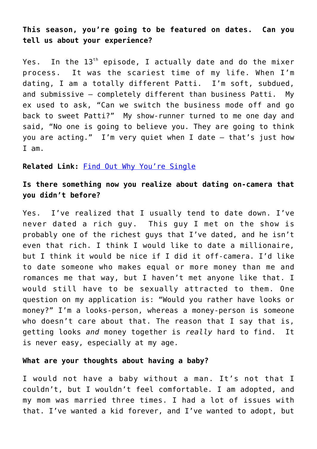**This season, you're going to be featured on dates. Can you tell us about your experience?**

Yes. In the  $13<sup>th</sup>$  episode, I actually date and do the mixer process. It was the scariest time of my life. When I'm dating, I am a totally different Patti. I'm soft, subdued, and submissive — completely different than business Patti. My ex used to ask, "Can we switch the business mode off and go back to sweet Patti?" My show-runner turned to me one day and said, "No one is going to believe you. They are going to think you are acting." I'm very quiet when I date – that's just how I am.

#### **Related Link:** [Find Out Why You're Single](http://cupidspulse.com/find-out-why-youre-single-it-just-hasnt-happened-yet-author-karin-anderson/)

### **Is there something now you realize about dating on-camera that you didn't before?**

Yes. I've realized that I usually tend to date down. I've never dated a rich guy. This guy I met on the show is probably one of the richest guys that I've dated, and he isn't even that rich. I think I would like to date a millionaire, but I think it would be nice if I did it off-camera. I'd like to date someone who makes equal or more money than me and romances me that way, but I haven't met anyone like that. I would still have to be sexually attracted to them. One question on my application is: "Would you rather have looks or money?" I'm a looks-person, whereas a money-person is someone who doesn't care about that. The reason that I say that is, getting looks *and* money together is *really* hard to find. It is never easy, especially at my age.

#### **What are your thoughts about having a baby?**

I would not have a baby without a man. It's not that I couldn't, but I wouldn't feel comfortable. I am adopted, and my mom was married three times. I had a lot of issues with that. I've wanted a kid forever, and I've wanted to adopt, but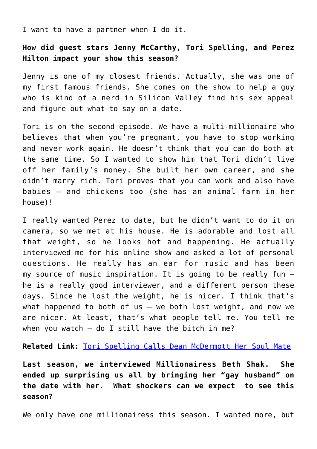I want to have a partner when I do it.

**How did guest stars Jenny McCarthy, Tori Spelling, and Perez Hilton impact your show this season?**

Jenny is one of my closest friends. Actually, she was one of my first famous friends. She comes on the show to help a guy who is kind of a nerd in Silicon Valley find his sex appeal and figure out what to say on a date.

Tori is on the second episode. We have a multi-millionaire who believes that when you're pregnant, you have to stop working and never work again. He doesn't think that you can do both at the same time. So I wanted to show him that Tori didn't live off her family's money. She built her own career, and she didn't marry rich. Tori proves that you can work and also have babies — and chickens too (she has an animal farm in her house)!

I really wanted Perez to date, but he didn't want to do it on camera, so we met at his house. He is adorable and lost all that weight, so he looks hot and happening. He actually interviewed me for his online show and asked a lot of personal questions. He really has an ear for music and has been my source of music inspiration. It is going to be really fun – he is a really good interviewer, and a different person these days. Since he lost the weight, he is nicer. I think that's what happened to both of us  $-$  we both lost weight, and now we are nicer. At least, that's what people tell me. You tell me when you watch  $-$  do I still have the bitch in me?

**Related Link:** [Tori Spelling Calls Dean McDermott Her Soul Mate](http://cupidspulse.com/90210-actress-tori-spelling-calls-husband-dean-mcdermott-soul-mate/)

**Last season, we interviewed Millionairess Beth Shak. She ended up surprising us all by bringing her "gay husband" on the date with her. What shockers can we expect to see this season?**

We only have one millionairess this season. I wanted more, but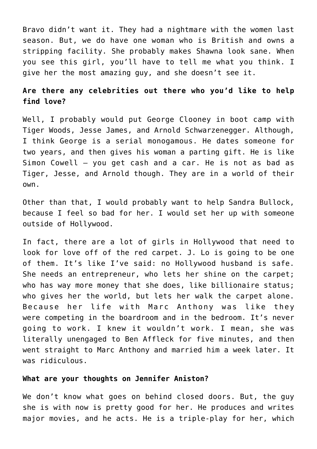Bravo didn't want it. They had a nightmare with the women last season. But, we do have one woman who is British and owns a stripping facility. She probably makes Shawna look sane. When you see this girl, you'll have to tell me what you think. I give her the most amazing guy, and she doesn't see it.

### **Are there any celebrities out there who you'd like to help find love?**

Well, I probably would put George Clooney in boot camp with Tiger Woods, Jesse James, and Arnold Schwarzenegger. Although, I think George is a serial monogamous. He dates someone for two years, and then gives his woman a parting gift. He is like Simon Cowell — you get cash and a car. He is not as bad as Tiger, Jesse, and Arnold though. They are in a world of their own.

Other than that, I would probably want to help Sandra Bullock, because I feel so bad for her. I would set her up with someone outside of Hollywood.

In fact, there are a lot of girls in Hollywood that need to look for love off of the red carpet. J. Lo is going to be one of them. It's like I've said: no Hollywood husband is safe. She needs an entrepreneur, who lets her shine on the carpet; who has way more money that she does, like billionaire status; who gives her the world, but lets her walk the carpet alone. Because her life with Marc Anthony was like they were competing in the boardroom and in the bedroom. It's never going to work. I knew it wouldn't work. I mean, she was literally unengaged to Ben Affleck for five minutes, and then went straight to Marc Anthony and married him a week later. It was ridiculous.

#### **What are your thoughts on Jennifer Aniston?**

We don't know what goes on behind closed doors. But, the guy she is with now is pretty good for her. He produces and writes major movies, and he acts. He is a triple-play for her, which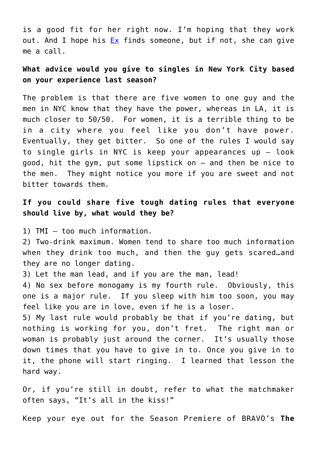is a good fit for her right now. I'm hoping that they work out. And I hope his  $Ex$  finds someone, but if not, she can give me a call.

### **What advice would you give to singles in New York City based on your experience last season?**

The problem is that there are five women to one guy and the men in NYC know that they have the power, whereas in LA, it is much closer to 50/50. For women, it is a terrible thing to be in a city where you feel like you don't have power. Eventually, they get bitter. So one of the rules I would say to single girls in NYC is keep your appearances up — look good, hit the gym, put some lipstick on — and then be nice to the men. They might notice you more if you are sweet and not bitter towards them.

### **If you could share five tough dating rules that everyone should live by, what would they be?**

1) TMI — too much information.

2) Two-drink maximum. Women tend to share too much information when they drink too much, and then the guy gets scared…and they are no longer dating.

3) Let the man lead, and if you are the man, lead!

4) No sex before monogamy is my fourth rule. Obviously, this one is a major rule. If you sleep with him too soon, you may feel like you are in love, even if he is a loser.

5) My last rule would probably be that if you're dating, but nothing is working for you, don't fret. The right man or woman is probably just around the corner. It's usually those down times that you have to give in to. Once you give in to it, the phone will start ringing. I learned that lesson the hard way.

Or, if you're still in doubt, refer to what the matchmaker often says, "It's all in the kiss!"

Keep your eye out for the Season Premiere of BRAVO's **The**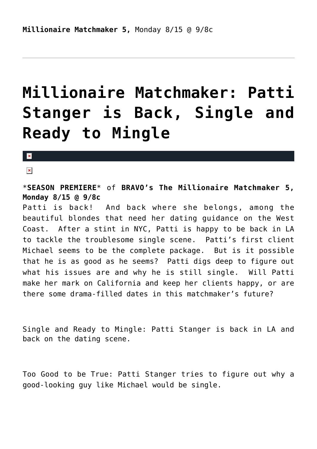### **[Millionaire Matchmaker: Patti](https://cupidspulse.com/18657/millionaire-matchmaker-single-patti-stanger-premieres-on-bravo/) [Stanger is Back, Single and](https://cupidspulse.com/18657/millionaire-matchmaker-single-patti-stanger-premieres-on-bravo/) [Ready to Mingle](https://cupidspulse.com/18657/millionaire-matchmaker-single-patti-stanger-premieres-on-bravo/)**

#### $\mathbf{x}$

 $\pmb{\times}$ 

\***SEASON PREMIERE**\* of **BRAVO's The Millionaire Matchmaker 5, Monday 8/15 @ 9/8c**

Patti is back! And back where she belongs, among the beautiful blondes that need her dating guidance on the West Coast. After a stint in NYC, Patti is happy to be back in LA to tackle the troublesome single scene. Patti's first client Michael seems to be the complete package. But is it possible that he is as good as he seems? Patti digs deep to figure out what his issues are and why he is still single. Will Patti make her mark on California and keep her clients happy, or are there some drama-filled dates in this matchmaker's future?

Single and Ready to Mingle: Patti Stanger is back in LA and back on the dating scene.

Too Good to be True: Patti Stanger tries to figure out why a good-looking guy like Michael would be single.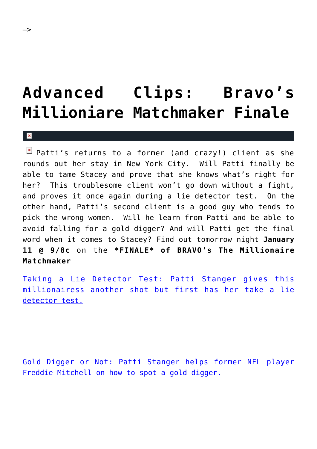## **[Advanced Clips: Bravo's](https://cupidspulse.com/9312/advanced-clips-bravo%e2%80%99s-millioniare-matchmaker-finale/) [Millioniare Matchmaker Finale](https://cupidspulse.com/9312/advanced-clips-bravo%e2%80%99s-millioniare-matchmaker-finale/)**

 $\vert \mathbf{x} \vert$ 

–>

 $\boxed{\times}$  Patti's returns to a former (and crazy!) client as she rounds out her stay in New York City. Will Patti finally be able to tame Stacey and prove that she knows what's right for her? This troublesome client won't go down without a fight, and proves it once again during a lie detector test. On the other hand, Patti's second client is a good guy who tends to pick the wrong women. Will he learn from Patti and be able to avoid falling for a gold digger? And will Patti get the final word when it comes to Stacey? Find out tomorrow night **January 11 @ 9/8c** on the **\*FINALE\* of BRAVO's The Millionaire Matchmaker**

[Taking a Lie Detector Test: Patti Stanger gives this](http://www.bravotv.com/the-millionaire-matchmaker/season-4/videos/taking-a-lie-detector-test) [millionairess another shot but first has her take a lie](http://www.bravotv.com/the-millionaire-matchmaker/season-4/videos/taking-a-lie-detector-test) [detector test.](http://www.bravotv.com/the-millionaire-matchmaker/season-4/videos/taking-a-lie-detector-test)

[Gold Digger or Not: Patti Stanger helps former NFL player](http://www.bravotv.com/the-millionaire-matchmaker/season-4/videos/gold-digger-or-not) [Freddie Mitchell on how to spot a gold digger.](http://www.bravotv.com/the-millionaire-matchmaker/season-4/videos/gold-digger-or-not)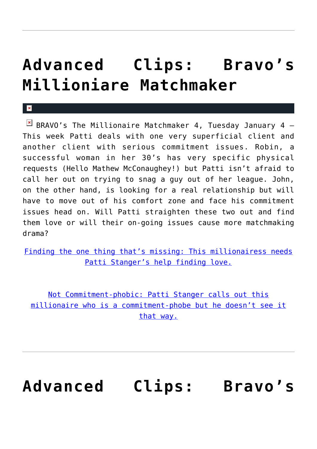### **[Advanced Clips: Bravo's](https://cupidspulse.com/8971/advanced-clips-bravo%e2%80%99s-millioniare-matchmaker-7/) [Millioniare Matchmaker](https://cupidspulse.com/8971/advanced-clips-bravo%e2%80%99s-millioniare-matchmaker-7/)**

x

 $\boxed{\times}$  BRAVO's The Millionaire Matchmaker 4, Tuesday January 4 -This week Patti deals with one very superficial client and another client with serious commitment issues. Robin, a successful woman in her 30's has very specific physical requests (Hello Mathew McConaughey!) but Patti isn't afraid to call her out on trying to snag a guy out of her league. John, on the other hand, is looking for a real relationship but will have to move out of his comfort zone and face his commitment issues head on. Will Patti straighten these two out and find them love or will their on-going issues cause more matchmaking drama?

[Finding the one thing that's missing: This millionairess needs](http://www.bravotv.com/the-millionaire-matchmaker/season-4/videos/finding-the-one-thing-thats-missing) [Patti Stanger's help finding love.](http://www.bravotv.com/the-millionaire-matchmaker/season-4/videos/finding-the-one-thing-thats-missing)

[Not Commitment-phobic: Patti Stanger calls out this](http://www.bravotv.com/the-millionaire-matchmaker/season-4/videos/not-commitment-phobic) [millionaire who is a commitment-phobe but he doesn't see it](http://www.bravotv.com/the-millionaire-matchmaker/season-4/videos/not-commitment-phobic) [that way.](http://www.bravotv.com/the-millionaire-matchmaker/season-4/videos/not-commitment-phobic)

**[Advanced Clips: Bravo's](https://cupidspulse.com/8730/advanced-clips-bravo%e2%80%99s-millioniare-matchmaker-6/)**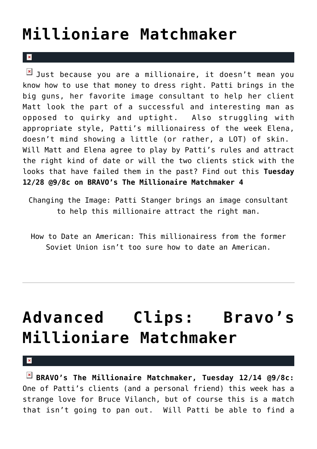### **[Millioniare Matchmaker](https://cupidspulse.com/8730/advanced-clips-bravo%e2%80%99s-millioniare-matchmaker-6/)**

#### $\mathbf{R}$

 $\boxed{\times}$  Just because you are a millionaire, it doesn't mean you know how to use that money to dress right. Patti brings in the big guns, her favorite image consultant to help her client Matt look the part of a successful and interesting man as opposed to quirky and uptight. Also struggling with appropriate style, Patti's millionairess of the week Elena, doesn't mind showing a little (or rather, a LOT) of skin. Will Matt and Elena agree to play by Patti's rules and attract the right kind of date or will the two clients stick with the looks that have failed them in the past? Find out this **Tuesday 12/28 @9/8c on BRAVO's The Millionaire Matchmaker 4**

Changing the Image: Patti Stanger brings an image consultant to help this millionaire attract the right man.

How to Date an American: This millionairess from the former Soviet Union isn't too sure how to date an American.

## **[Advanced Clips: Bravo's](https://cupidspulse.com/8248/advanced-clips-bravo%e2%80%99s-millioniare-matchmaker-5/) [Millioniare Matchmaker](https://cupidspulse.com/8248/advanced-clips-bravo%e2%80%99s-millioniare-matchmaker-5/)**

 $\pmb{\times}$ 

**BRAVO's The Millionaire Matchmaker, Tuesday 12/14 @9/8c:** One of Patti's clients (and a personal friend) this week has a strange love for Bruce Vilanch, but of course this is a match that isn't going to pan out. Will Patti be able to find a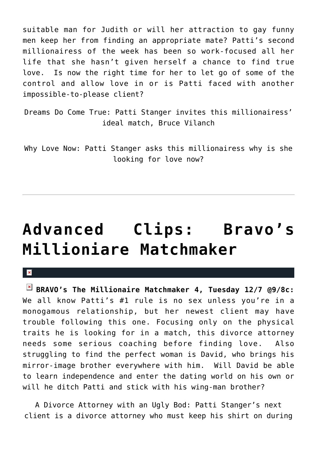suitable man for Judith or will her attraction to gay funny men keep her from finding an appropriate mate? Patti's second millionairess of the week has been so work-focused all her life that she hasn't given herself a chance to find true love. Is now the right time for her to let go of some of the control and allow love in or is Patti faced with another impossible-to-please client?

Dreams Do Come True: Patti Stanger invites this millionairess' ideal match, Bruce Vilanch

Why Love Now: Patti Stanger asks this millionairess why is she looking for love now?

### **[Advanced Clips: Bravo's](https://cupidspulse.com/8105/advanced-clips-bravo%e2%80%99s-millioniare-matchmaker-4/) [Millioniare Matchmaker](https://cupidspulse.com/8105/advanced-clips-bravo%e2%80%99s-millioniare-matchmaker-4/)**

 $\mathbf{R}$ 

**BRAVO's The Millionaire Matchmaker 4, Tuesday 12/7 @9/8c:** We all know Patti's #1 rule is no sex unless you're in a monogamous relationship, but her newest client may have trouble following this one. Focusing only on the physical traits he is looking for in a match, this divorce attorney needs some serious coaching before finding love. Also struggling to find the perfect woman is David, who brings his mirror-image brother everywhere with him. Will David be able to learn independence and enter the dating world on his own or will he ditch Patti and stick with his wing-man brother?

A Divorce Attorney with an Ugly Bod: Patti Stanger's next client is a divorce attorney who must keep his shirt on during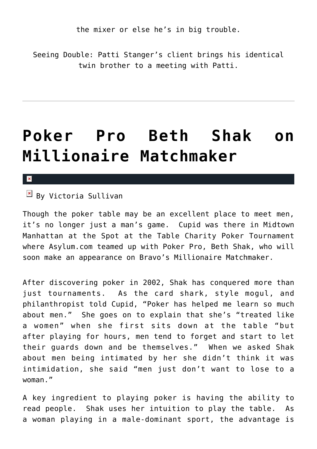the mixer or else he's in big trouble.

Seeing Double: Patti Stanger's client brings his identical twin brother to a meeting with Patti.

### **[Poker Pro Beth Shak on](https://cupidspulse.com/5392/poker-pro-beth-shak-on-millionaire-matchmaker/) [Millionaire Matchmaker](https://cupidspulse.com/5392/poker-pro-beth-shak-on-millionaire-matchmaker/)**

#### $\vert \mathbf{x} \vert$

 $\boxed{\times}$  By Victoria Sullivan

Though the poker table may be an excellent place to meet men, it's no longer just a man's game. Cupid was there in Midtown Manhattan at the Spot at the Table Charity Poker Tournament where Asylum.com teamed up with Poker Pro, Beth Shak, who will soon make an appearance on Bravo's Millionaire Matchmaker.

After discovering poker in 2002, Shak has conquered more than just tournaments. As the card shark, style mogul, and philanthropist told Cupid, "Poker has helped me learn so much about men." She goes on to explain that she's "treated like a women" when she first sits down at the table "but after playing for hours, men tend to forget and start to let their guards down and be themselves." When we asked Shak about men being intimated by her she didn't think it was intimidation, she said "men just don't want to lose to a woman."

A key ingredient to playing poker is having the ability to read people. Shak uses her intuition to play the table. As a woman playing in a male-dominant sport, the advantage is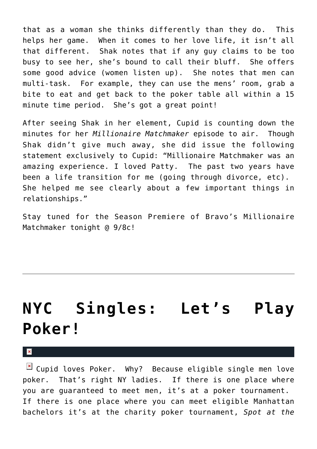that as a woman she thinks differently than they do. This helps her game. When it comes to her love life, it isn't all that different. Shak notes that if any guy claims to be too busy to see her, she's bound to call their bluff. She offers some good advice (women listen up). She notes that men can multi-task. For example, they can use the mens' room, grab a bite to eat and get back to the poker table all within a 15 minute time period. She's got a great point!

After seeing Shak in her element, Cupid is counting down the minutes for her *Millionaire Matchmaker* episode to air. Though Shak didn't give much away, she did issue the following statement exclusively to Cupid: "Millionaire Matchmaker was an amazing experience. I loved Patty. The past two years have been a life transition for me (going through divorce, etc). She helped me see clearly about a few important things in relationships."

Stay tuned for the Season Premiere of Bravo's Millionaire Matchmaker tonight @ 9/8c!

## **[NYC Singles: Let's Play](https://cupidspulse.com/5064/nyc-singles-lets-play-poker/) [Poker!](https://cupidspulse.com/5064/nyc-singles-lets-play-poker/)**

 $\mathbf{R}$ 

 $\boxed{\times}$  Cupid loves Poker. Why? Because eligible single men love poker. That's right NY ladies. If there is one place where you are guaranteed to meet men, it's at a poker tournament. If there is one place where you can meet eligible Manhattan bachelors it's at the charity poker tournament, *Spot at the*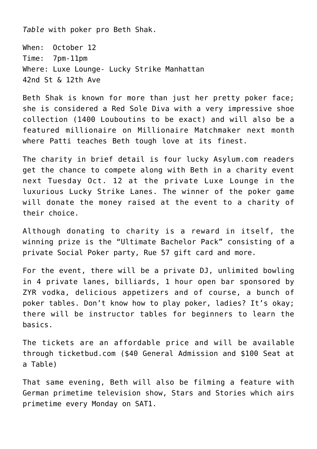*Table* with poker pro Beth Shak.

When: October 12 Time: 7pm-11pm Where: Luxe Lounge- Lucky Strike Manhattan 42nd St & 12th Ave

Beth Shak is known for more than just her pretty poker face; she is considered a Red Sole Diva with a very impressive shoe collection (1400 Louboutins to be exact) and will also be a featured millionaire on Millionaire Matchmaker next month where Patti teaches Beth tough love at its finest.

The charity in brief detail is four lucky Asylum.com readers get the chance to compete along with Beth in a charity event next Tuesday Oct. 12 at the private Luxe Lounge in the luxurious Lucky Strike Lanes. The winner of the poker game will donate the money raised at the event to a charity of their choice.

Although donating to charity is a reward in itself, the winning prize is the "Ultimate Bachelor Pack" consisting of a private Social Poker party, Rue 57 gift card and more.

For the event, there will be a private DJ, unlimited bowling in 4 private lanes, billiards, 1 hour open bar sponsored by ZYR vodka, delicious appetizers and of course, a bunch of poker tables. Don't know how to play poker, ladies? It's okay; there will be instructor tables for beginners to learn the basics.

The tickets are an affordable price and will be available through ticketbud.com (\$40 General Admission and \$100 Seat at a Table)

That same evening, Beth will also be filming a feature with German primetime television show, Stars and Stories which airs primetime every Monday on SAT1.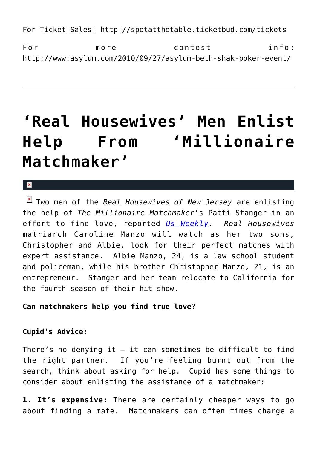For Ticket Sales: http://spotatthetable.ticketbud.com/tickets

For more contest info: http://www.asylum.com/2010/09/27/asylum-beth-shak-poker-event/

### **['Real Housewives' Men Enlist](https://cupidspulse.com/4526/real-housewives-men-enlist-help-from-millionaire-matchmaker/) [Help From 'Millionaire](https://cupidspulse.com/4526/real-housewives-men-enlist-help-from-millionaire-matchmaker/) [Matchmaker'](https://cupidspulse.com/4526/real-housewives-men-enlist-help-from-millionaire-matchmaker/)**

 $\pmb{\times}$ 

Two men of the *Real Housewives of New Jersey* are enlisting the help of *The Millionaire Matchmaker*'s Patti Stanger in an effort to find love, reported *[Us Weekly](http://www.usmagazine.com/moviestvmusic/news/millionaire-matchmaker-to-find-women-for-caroline-manzos-sons-2010159)*. *Real Housewives* matriarch Caroline Manzo will watch as her two sons, Christopher and Albie, look for their perfect matches with expert assistance. Albie Manzo, 24, is a law school student and policeman, while his brother Christopher Manzo, 21, is an entrepreneur. Stanger and her team relocate to California for the fourth season of their hit show.

**Can matchmakers help you find true love?**

### **Cupid's Advice:**

There's no denying it  $-$  it can sometimes be difficult to find the right partner. If you're feeling burnt out from the search, think about asking for help. Cupid has some things to consider about enlisting the assistance of a matchmaker:

**1. It's expensive:** There are certainly cheaper ways to go about finding a mate. Matchmakers can often times charge a